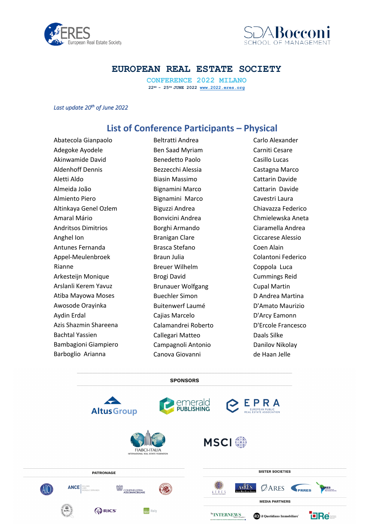



**CONFERENCE 2022 MILANO 22ND - 25TH JUNE 2022 www.2022.eres.org**

*Last update 20th of June 2022* 

# **List of Conference Participants – Physical**

Abatecola Gianpaolo Adegoke Ayodele Akinwamide David Aldenhoff Dennis Aletti Aldo Almeida João Almiento Piero Altinkaya Genel Ozlem Amaral Mário Andritsos Dimitrios Anghel Ion Antunes Fernanda Appel-Meulenbroek Rianne Arkesteijn Monique Arslanli Kerem Yavuz Atiba Mayowa Moses Awosode Orayinka Aydin Erdal Azis Shazmin Shareena Bachtal Yassien Bambagioni Giampiero Barboglio Arianna

Beltratti Andrea Ben Saad Myriam Benedetto Paolo Bezzecchi Alessia Biasin Massimo Bignamini Marco Bignamini Marco Biguzzi Andrea Bonvicini Andrea Borghi Armando Branigan Clare Brasca Stefano Braun Julia Breuer Wilhelm Brogi David Brunauer Wolfgang Buechler Simon Buitenwerf Laumé Cajias Marcelo Calamandrei Roberto Callegari Matteo Campagnoli Antonio Canova Giovanni

Carlo Alexander Carniti Cesare Casillo Lucas Castagna Marco Cattarin Davide Cattarin Davide Cavestri Laura Chiavazza Federico Chmielewska Aneta Ciaramella Andrea Ciccarese Alessio Coen Alain Colantoni Federico Coppola Luca Cummings Reid Cupal Martin D Andrea Martina D'Amato Maurizio D'Arcy Eamonn D'Ercole Francesco Daals Silke Danilov Nikolay de Haan Jelle

**SPONSORS** 

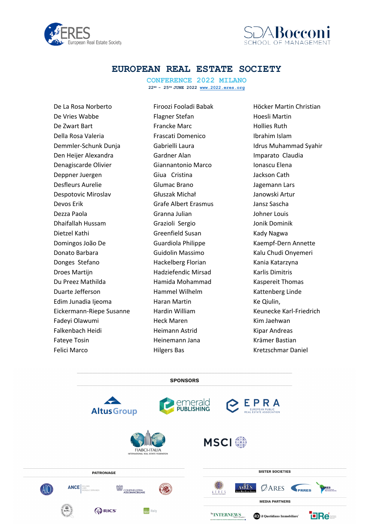



**CONFERENCE 2022 MILANO 22ND - 25TH JUNE 2022 www.2022.eres.org**

De La Rosa Norberto De Vries Wabbe De Zwart Bart Della Rosa Valeria Demmler-Schunk Dunja Den Heijer Alexandra Denagiscarde Olivier Deppner Juergen Desfleurs Aurelie Despotovic Miroslav Devos Erik Dezza Paola Dhaifallah Hussam Dietzel Kathi Domingos João De Donato Barbara Donges Stefano Droes Martijn Du Preez Mathilda Duarte Jefferson Edim Junadia Ijeoma Eickermann-Riepe Susanne Fadeyi Olawumi Falkenbach Heidi Fateye Tosin Felici Marco

Firoozi Fooladi Babak Flagner Stefan Francke Marc Frascati Domenico Gabrielli Laura Gardner Alan Giannantonio Marco Giua Cristina Glumac Brano Głuszak Michał Grafe Albert Erasmus Granna Julian Grazioli Sergio Greenfield Susan Guardiola Philippe Guidolin Massimo Hackelberg Florian Hadziefendic Mirsad Hamida Mohammad Hammel Wilhelm Haran Martin Hardin William Heck Maren Heimann Astrid Heinemann Jana Hilgers Bas

Höcker Martin Christian Hoesli Martin Hollies Ruth Ibrahim Islam Idrus Muhammad Syahir Imparato Claudia Ionascu Elena Jackson Cath Jagemann Lars Janowski Artur Jansz Sascha Johner Louis Jonik Dominik Kady Nagwa Kaempf-Dern Annette Kalu Chudi Onyemeri Kania Katarzyna Karlis Dimitris Kaspereit Thomas Kattenberg Linde Ke Qiulin, Keunecke Karl-Friedrich Kim Jaehwan Kipar Andreas Krämer Bastian Kretzschmar Daniel

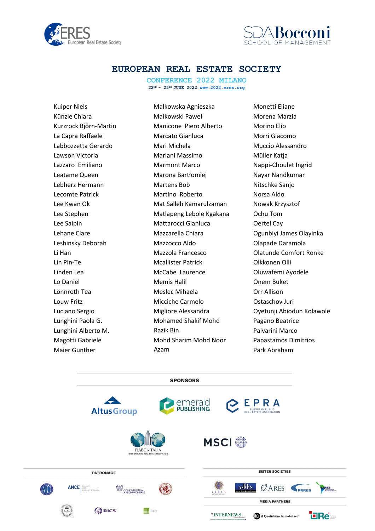



**CONFERENCE 2022 MILANO 22ND - 25TH JUNE 2022 www.2022.eres.org**

Kuiper Niels Künzle Chiara Kurzrock Björn-Martin La Capra Raffaele Labbozzetta Gerardo Lawson Victoria Lazzaro Emiliano Leatame Queen Lebherz Hermann Lecomte Patrick Lee Kwan Ok Lee Stephen Lee Saipin Lehane Clare Leshinsky Deborah Li Han Lin Pin-Te Linden Lea Lo Daniel Lönnroth Tea Louw Fritz Luciano Sergio Lunghini Paola G. Lunghini Alberto M. Magotti Gabriele Maier Gunther

Malkowska Agnieszka Małkowski Paweł Manicone Piero Alberto Marcato Gianluca Mari Michela Mariani Massimo Marmont Marco Marona Bartłomiej Martens Bob Martino Roberto Mat Salleh Kamarulzaman Matlapeng Lebole Kgakana Mattarocci Gianluca Mazzarella Chiara Mazzocco Aldo Mazzola Francesco Mcallister Patrick McCabe Laurence Memis Halil Meslec Mihaela Micciche Carmelo Migliore Alessandra Mohamed Shakif Mohd Razik Bin Mohd Sharim Mohd Noor Azam

Monetti Eliane Morena Marzia Morino Elio Morri Giacomo Muccio Alessandro Müller Katja Nappi-Choulet Ingrid Nayar Nandkumar Nitschke Sanjo Norsa Aldo Nowak Krzysztof Ochu Tom Oertel Cay Ogunbiyi James Olayinka Olapade Daramola Olatunde Comfort Ronke Olkkonen Olli Oluwafemi Ayodele Onem Buket Orr Allison Ostaschov Juri Oyetunji Abiodun Kolawole Pagano Beatrice Palvarini Marco Papastamos Dimitrios Park Abraham

**SPONSORS** 

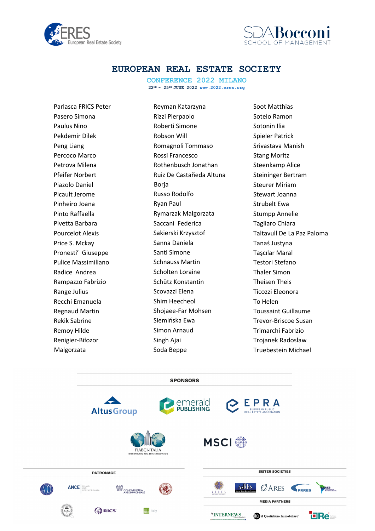



**CONFERENCE 2022 MILANO 22ND - 25TH JUNE 2022 www.2022.eres.org**

Parlasca FRICS Peter Pasero Simona Paulus Nino Pekdemir Dilek Peng Liang Percoco Marco Petrova Milena Pfeifer Norbert Piazolo Daniel Picault Jerome Pinheiro Joana Pinto Raffaella Pivetta Barbara Pourcelot Alexis Price S. Mckay Pronesti' Giuseppe Pulice Massimiliano Radice Andrea Rampazzo Fabrizio Range Julius Recchi Emanuela Regnaud Martin Rekik Sabrine Remoy Hilde Renigier-Biłozor Malgorzata

Reyman Katarzyna Rizzi Pierpaolo Roberti Simone Robson Will Romagnoli Tommaso Rossi Francesco Rothenbusch Jonathan Ruiz De Castañeda Altuna Borja Russo Rodolfo Ryan Paul Rymarzak Małgorzata Saccani Federica Sakierski Krzysztof Sanna Daniela Santi Simone Schnauss Martin Scholten Loraine Schütz Konstantin Scovazzi Elena Shim Heecheol Shojaee-Far Mohsen Siemińska Ewa Simon Arnaud Singh Ajai Soda Beppe

Soot Matthias Sotelo Ramon Sotonin Ilia Spieler Patrick Srivastava Manish Stang Moritz Steenkamp Alice Steininger Bertram Steurer Miriam Stewart Joanna Strubelt Ewa Stumpp Annelie Tagliaro Chiara Taltavull De La Paz Paloma Tanaś Justyna Taşcılar Maral Testori Stefano Thaler Simon Theisen Theis Ticozzi Eleonora To Helen Toussaint Guillaume Trevor-Briscoe Susan Trimarchi Fabrizio Trojanek Radoslaw Truebestein Michael

**SPONSORS** emerald<br>PUBLISHING EPRA **Altus Group MSCI**<sup>®</sup> **FIABCI-ITALIA SISTER SOCIETIES PATRONAGE ANCE AsRES**  $\emptyset$ ARES PRRES  $(A|())$ ABL CONFINDUSTRIA AFRES **MEDIA PARTNERS ORICS THE Italy** by INTERNEWS (0) il Quotidiano Immobiliare<sup>\*</sup> **TERet**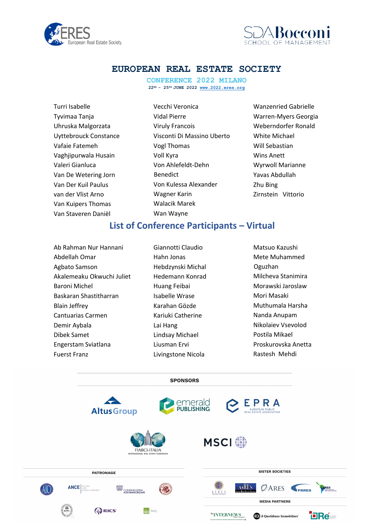



**CONFERENCE 2022 MILANO 22ND - 25TH JUNE 2022 www.2022.eres.org**

| Turri Isabelle               |
|------------------------------|
| Tyvimaa Tanja                |
| Uhruska Malgorzata           |
| <b>Uyttebrouck Constance</b> |
| Vafaie Fatemeh               |
| Vaghjipurwala Husain         |
| Valeri Gianluca              |
| Van De Wetering Jorn         |
| Van Der Kuil Paulus          |
| van der Vlist Arno           |
| Van Kuipers Thomas           |
| Van Staveren Daniël          |
|                              |

Vecchi Veronica Vidal Pierre Viruly Francois Visconti Di Massino Uberto Vogl Thomas Voll Kyra Von Ahlefeldt-Dehn Benedict Von Kulessa Alexander Wagner Karin Walacik Marek Wan Wayne

Wanzenried Gabrielle Warren-Myers Georgia Weberndorfer Ronald White Michael Will Sebastian Wins Anett Wyrwoll Marianne Yavas Abdullah Zhu Bing Zirnstein Vittorio

# **List of Conference Participants – Virtual**

- Ab Rahman Nur Hannani Abdellah Omar Agbato Samson Akalemeaku Okwuchi Juliet Baroni Michel Baskaran Shastitharran Blain Jeffrey Cantuarias Carmen Demir Aybala Dibek Samet Engerstam Sviatlana Fuerst Franz
- Giannotti Claudio Hahn Jonas Hebdzynski Michal Hedemann Konrad Huang Feibai Isabelle Wrase Karahan Gözde Kariuki Catherine Lai Hang Lindsay Michael Liusman Ervi Livingstone Nicola
- Matsuo Kazushi Mete Muhammed Oguzhan Milcheva Stanimira Morawski Jaroslaw Mori Masaki Muthumala Harsha Nanda Anupam Nikolaiev Vsevolod Postila Mikael Proskurovska Anetta Rastesh Mehdi

**SPONSORS**